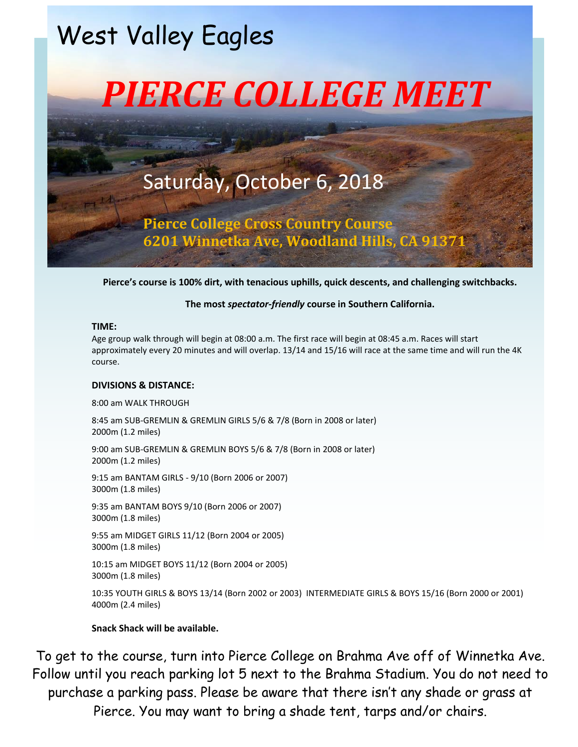# West Valley Eagles



## Saturday, October 6, 2018

**Pierce College Cross Country Course 6201 Winnetka Ave, Woodland Hills, CA 91371**

**Pierce's course is 100% dirt, with tenacious uphills, quick descents, and challenging switchbacks.**

### **The most** *spectator-friendly* **course in Southern California.**

### **TIME:**

Age group walk through will begin at 08:00 a.m. The first race will begin at 08:45 a.m. Races will start approximately every 20 minutes and will overlap. 13/14 and 15/16 will race at the same time and will run the 4K course.

### **DIVISIONS & DISTANCE:**

8:00 am WALK THROUGH

8:45 am SUB-GREMLIN & GREMLIN GIRLS 5/6 & 7/8 (Born in 2008 or later) 2000m (1.2 miles)

9:00 am SUB-GREMLIN & GREMLIN BOYS 5/6 & 7/8 (Born in 2008 or later) 2000m (1.2 miles)

9:15 am BANTAM GIRLS - 9/10 (Born 2006 or 2007) 3000m (1.8 miles)

9:35 am BANTAM BOYS 9/10 (Born 2006 or 2007) 3000m (1.8 miles)

9:55 am MIDGET GIRLS 11/12 (Born 2004 or 2005) 3000m (1.8 miles)

10:15 am MIDGET BOYS 11/12 (Born 2004 or 2005) 3000m (1.8 miles)

10:35 YOUTH GIRLS & BOYS 13/14 (Born 2002 or 2003) INTERMEDIATE GIRLS & BOYS 15/16 (Born 2000 or 2001) 4000m (2.4 miles)

### **Snack Shack will be available.**

To get to the course, turn into Pierce College on Brahma Ave off of Winnetka Ave. Follow until you reach parking lot 5 next to the Brahma Stadium. You do not need to purchase a parking pass. Please be aware that there isn't any shade or grass at Pierce. You may want to bring a shade tent, tarps and/or chairs.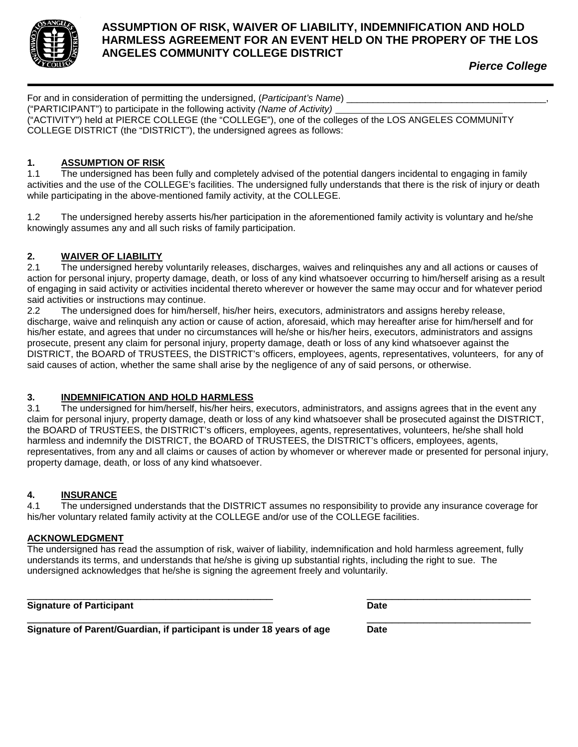

### **ASSUMPTION OF RISK, WAIVER OF LIABILITY, INDEMNIFICATION AND HOLD HARMLESS AGREEMENT FOR AN EVENT HELD ON THE PROPERY OF THE LOS ANGELES COMMUNITY COLLEGE DISTRICT**

*Pierce College*

| For and in consideration of permitting the undersigned, (Participant's Name)                          |
|-------------------------------------------------------------------------------------------------------|
| ("PARTICIPANT") to participate in the following activity (Name of Activity)                           |
| ("ACTIVITY") held at PIERCE COLLEGE (the "COLLEGE"), one of the colleges of the LOS ANGELES COMMUNITY |
| COLLEGE DISTRICT (the "DISTRICT"), the undersigned agrees as follows:                                 |

### **1. ASSUMPTION OF RISK**

1.1 The undersigned has been fully and completely advised of the potential dangers incidental to engaging in family activities and the use of the COLLEGE's facilities. The undersigned fully understands that there is the risk of injury or death while participating in the above-mentioned family activity, at the COLLEGE.

1.2 The undersigned hereby asserts his/her participation in the aforementioned family activity is voluntary and he/she knowingly assumes any and all such risks of family participation.

### **2. WAIVER OF LIABILITY**

The undersigned hereby voluntarily releases, discharges, waives and relinquishes any and all actions or causes of action for personal injury, property damage, death, or loss of any kind whatsoever occurring to him/herself arising as a result of engaging in said activity or activities incidental thereto wherever or however the same may occur and for whatever period said activities or instructions may continue.

2.2 The undersigned does for him/herself, his/her heirs, executors, administrators and assigns hereby release, discharge, waive and relinquish any action or cause of action, aforesaid, which may hereafter arise for him/herself and for his/her estate, and agrees that under no circumstances will he/she or his/her heirs, executors, administrators and assigns prosecute, present any claim for personal injury, property damage, death or loss of any kind whatsoever against the DISTRICT, the BOARD of TRUSTEES, the DISTRICT's officers, employees, agents, representatives, volunteers, for any of said causes of action, whether the same shall arise by the negligence of any of said persons, or otherwise.

### **3. INDEMNIFICATION AND HOLD HARMLESS**

3.1 The undersigned for him/herself, his/her heirs, executors, administrators, and assigns agrees that in the event any claim for personal injury, property damage, death or loss of any kind whatsoever shall be prosecuted against the DISTRICT, the BOARD of TRUSTEES, the DISTRICT's officers, employees, agents, representatives, volunteers, he/she shall hold harmless and indemnify the DISTRICT, the BOARD of TRUSTEES, the DISTRICT's officers, employees, agents, representatives, from any and all claims or causes of action by whomever or wherever made or presented for personal injury, property damage, death, or loss of any kind whatsoever.

### **4. INSURANCE**

4.1 The undersigned understands that the DISTRICT assumes no responsibility to provide any insurance coverage for his/her voluntary related family activity at the COLLEGE and/or use of the COLLEGE facilities.

### **ACKNOWLEDGMENT**

The undersigned has read the assumption of risk, waiver of liability, indemnification and hold harmless agreement, fully understands its terms, and understands that he/she is giving up substantial rights, including the right to sue. The undersigned acknowledges that he/she is signing the agreement freely and voluntarily.

**Signature of Participant Date** 

\_\_\_\_\_\_\_\_\_\_\_\_\_\_\_\_\_\_\_\_\_\_\_\_\_\_\_\_\_\_\_\_\_\_\_\_\_\_\_ \_\_\_\_\_\_\_\_\_\_\_\_\_\_\_\_\_\_\_\_\_\_\_\_\_\_

\_\_\_\_\_\_\_\_\_\_\_\_\_\_\_\_\_\_\_\_\_\_\_\_\_\_\_\_\_\_\_\_\_\_\_\_\_\_\_ \_\_\_\_\_\_\_\_\_\_\_\_\_\_\_\_\_\_\_\_\_\_\_\_\_\_ **Signature of Parent/Guardian, if participant is under 18 years of age Date**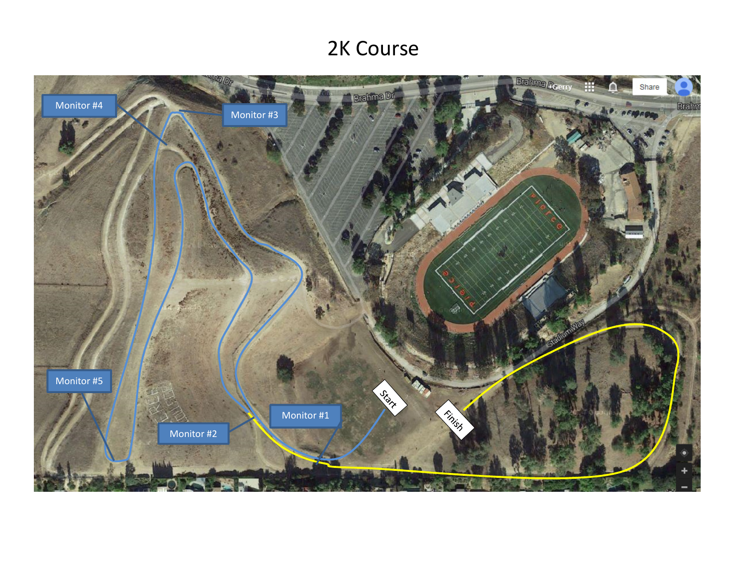# 2K Course

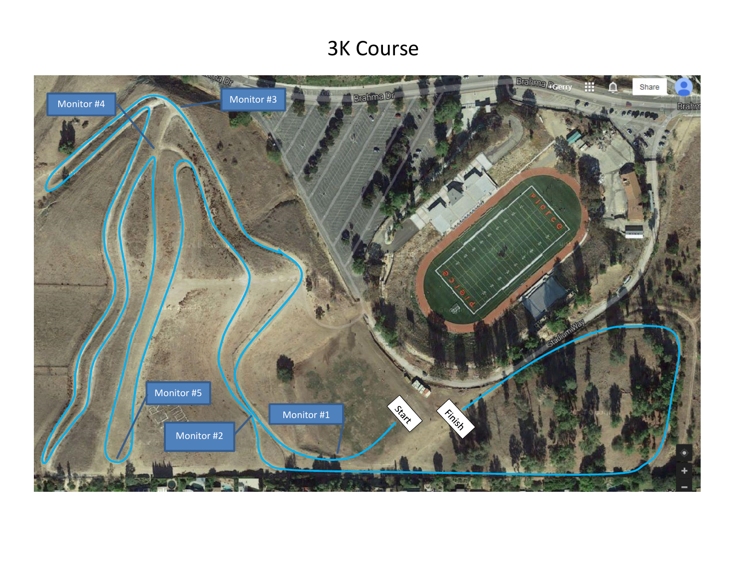# 3K Course